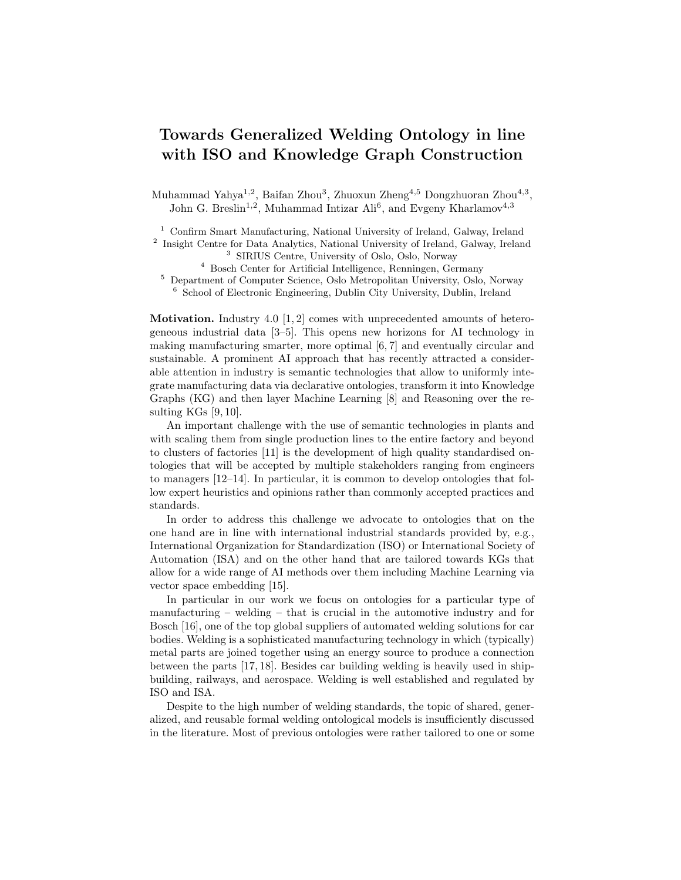## Towards Generalized Welding Ontology in line with ISO and Knowledge Graph Construction

Muhammad Yahya<sup>1,2</sup>, Baifan Zhou<sup>3</sup>, Zhuoxun Zheng<sup>4,5</sup> Dongzhuoran Zhou<sup>4,3</sup>, John G. Breslin<sup>1,2</sup>, Muhammad Intizar Ali<sup>6</sup>, and Evgeny Kharlamov<sup>4,3</sup>

<sup>1</sup> Confirm Smart Manufacturing, National University of Ireland, Galway, Ireland

<sup>2</sup> Insight Centre for Data Analytics, National University of Ireland, Galway, Ireland <sup>3</sup> SIRIUS Centre, University of Oslo, Oslo, Norway

<sup>4</sup> Bosch Center for Artificial Intelligence, Renningen, Germany

<sup>5</sup> Department of Computer Science, Oslo Metropolitan University, Oslo, Norway <sup>6</sup> School of Electronic Engineering, Dublin City University, Dublin, Ireland

**Motivation.** Industry 4.0 [1, 2] comes with unprecedented amounts of heterogeneous industrial data [3–5]. This opens new horizons for AI technology in making manufacturing smarter, more optimal [6, 7] and eventually circular and sustainable. A prominent AI approach that has recently attracted a considerable attention in industry is semantic technologies that allow to uniformly integrate manufacturing data via declarative ontologies, transform it into Knowledge Graphs (KG) and then layer Machine Learning [8] and Reasoning over the resulting  $KGs [9, 10].$ 

An important challenge with the use of semantic technologies in plants and with scaling them from single production lines to the entire factory and beyond to clusters of factories [11] is the development of high quality standardised ontologies that will be accepted by multiple stakeholders ranging from engineers to managers [12–14]. In particular, it is common to develop ontologies that follow expert heuristics and opinions rather than commonly accepted practices and standards.

In order to address this challenge we advocate to ontologies that on the one hand are in line with international industrial standards provided by, e.g., International Organization for Standardization (ISO) or International Society of Automation (ISA) and on the other hand that are tailored towards KGs that allow for a wide range of AI methods over them including Machine Learning via vector space embedding [15].

In particular in our work we focus on ontologies for a particular type of manufacturing – welding – that is crucial in the automotive industry and for Bosch [16], one of the top global suppliers of automated welding solutions for car bodies. Welding is a sophisticated manufacturing technology in which (typically) metal parts are joined together using an energy source to produce a connection between the parts [17, 18]. Besides car building welding is heavily used in shipbuilding, railways, and aerospace. Welding is well established and regulated by ISO and ISA.

Despite to the high number of welding standards, the topic of shared, generalized, and reusable formal welding ontological models is insufficiently discussed in the literature. Most of previous ontologies were rather tailored to one or some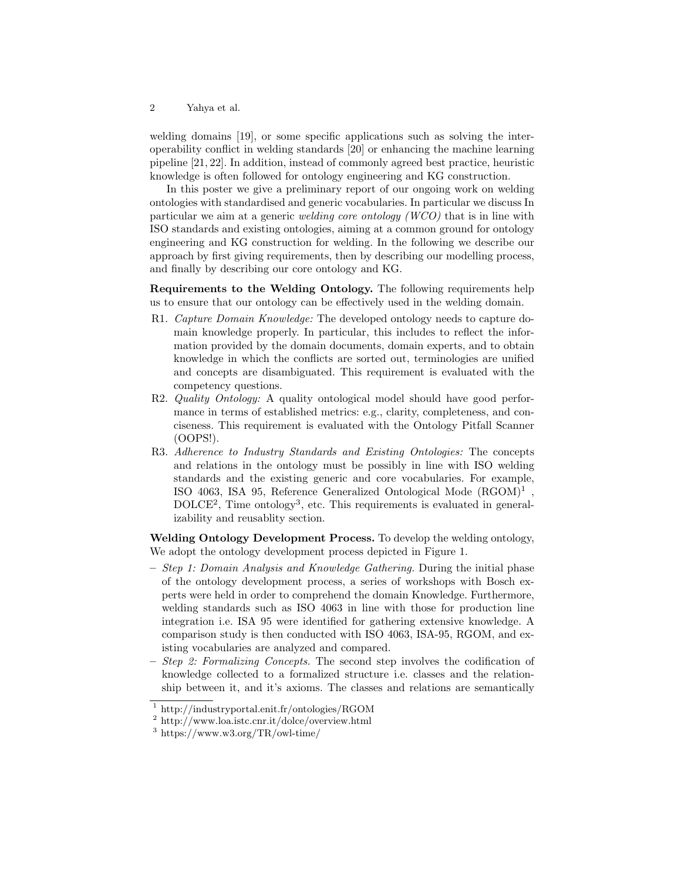2 Yahya et al.

welding domains [19], or some specific applications such as solving the interoperability conflict in welding standards [20] or enhancing the machine learning pipeline [21, 22]. In addition, instead of commonly agreed best practice, heuristic knowledge is often followed for ontology engineering and KG construction.

In this poster we give a preliminary report of our ongoing work on welding ontologies with standardised and generic vocabularies. In particular we discuss In particular we aim at a generic welding core ontology (WCO) that is in line with ISO standards and existing ontologies, aiming at a common ground for ontology engineering and KG construction for welding. In the following we describe our approach by first giving requirements, then by describing our modelling process, and finally by describing our core ontology and KG.

Requirements to the Welding Ontology. The following requirements help us to ensure that our ontology can be effectively used in the welding domain.

- R1. Capture Domain Knowledge: The developed ontology needs to capture domain knowledge properly. In particular, this includes to reflect the information provided by the domain documents, domain experts, and to obtain knowledge in which the conflicts are sorted out, terminologies are unified and concepts are disambiguated. This requirement is evaluated with the competency questions.
- R2. Quality Ontology: A quality ontological model should have good performance in terms of established metrics: e.g., clarity, completeness, and conciseness. This requirement is evaluated with the Ontology Pitfall Scanner (OOPS!).
- R3. Adherence to Industry Standards and Existing Ontologies: The concepts and relations in the ontology must be possibly in line with ISO welding standards and the existing generic and core vocabularies. For example, ISO 4063, ISA 95, Reference Generalized Ontological Mode  $(RGOM)^1$ , DOLCE<sup>2</sup>, Time ontology<sup>3</sup>, etc. This requirements is evaluated in generalizability and reusablity section.

Welding Ontology Development Process. To develop the welding ontology, We adopt the ontology development process depicted in Figure 1.

- Step 1: Domain Analysis and Knowledge Gathering. During the initial phase of the ontology development process, a series of workshops with Bosch experts were held in order to comprehend the domain Knowledge. Furthermore, welding standards such as ISO 4063 in line with those for production line integration i.e. ISA 95 were identified for gathering extensive knowledge. A comparison study is then conducted with ISO 4063, ISA-95, RGOM, and existing vocabularies are analyzed and compared.
- Step 2: Formalizing Concepts. The second step involves the codification of knowledge collected to a formalized structure i.e. classes and the relationship between it, and it's axioms. The classes and relations are semantically

<sup>1</sup> http://industryportal.enit.fr/ontologies/RGOM

<sup>2</sup> http://www.loa.istc.cnr.it/dolce/overview.html

<sup>3</sup> https://www.w3.org/TR/owl-time/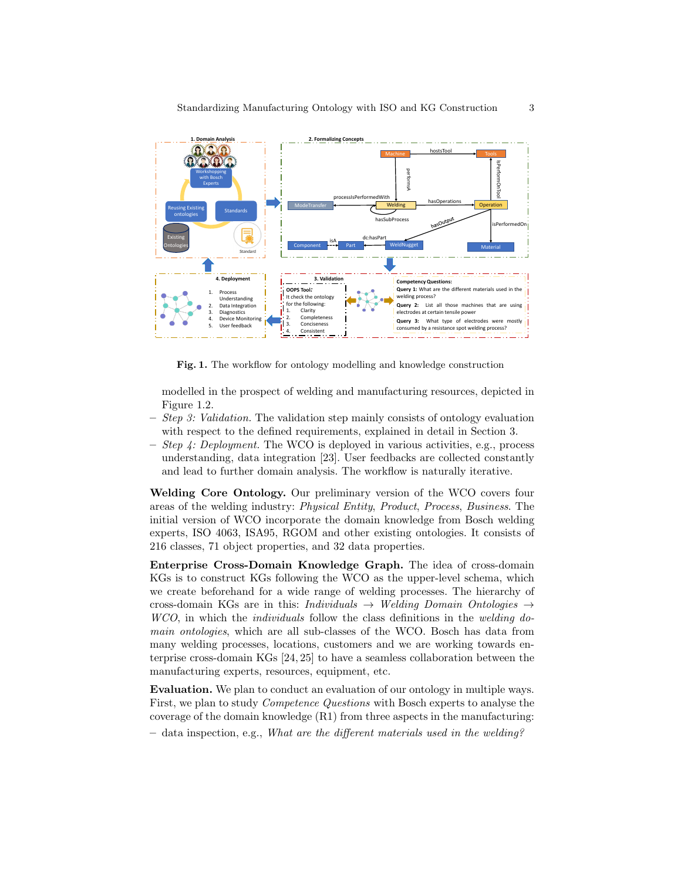

Fig. 1. The workflow for ontology modelling and knowledge construction

modelled in the prospect of welding and manufacturing resources, depicted in Figure 1.2.

- $-$  *Step 3: Validation.* The validation step mainly consists of ontology evaluation with respect to the defined requirements, explained in detail in Section 3.
- $-$  *Step 4: Deployment.* The WCO is deployed in various activities, e.g., process understanding, data integration [23]. User feedbacks are collected constantly and lead to further domain analysis. The workflow is naturally iterative.

Welding Core Ontology. Our preliminary version of the WCO covers four areas of the welding industry: Physical Entity, Product, Process, Business. The initial version of WCO incorporate the domain knowledge from Bosch welding experts, ISO 4063, ISA95, RGOM and other existing ontologies. It consists of 216 classes, 71 object properties, and 32 data properties.

Enterprise Cross-Domain Knowledge Graph. The idea of cross-domain KGs is to construct KGs following the WCO as the upper-level schema, which we create beforehand for a wide range of welding processes. The hierarchy of cross-domain KGs are in this: Individuals  $\rightarrow$  Welding Domain Ontologies  $\rightarrow$ WCO, in which the *individuals* follow the class definitions in the *welding do*main ontologies, which are all sub-classes of the WCO. Bosch has data from many welding processes, locations, customers and we are working towards enterprise cross-domain KGs [24, 25] to have a seamless collaboration between the manufacturing experts, resources, equipment, etc.

Evaluation. We plan to conduct an evaluation of our ontology in multiple ways. First, we plan to study Competence Questions with Bosch experts to analyse the coverage of the domain knowledge  $(R1)$  from three aspects in the manufacturing:

 $-$  data inspection, e.g., What are the different materials used in the welding?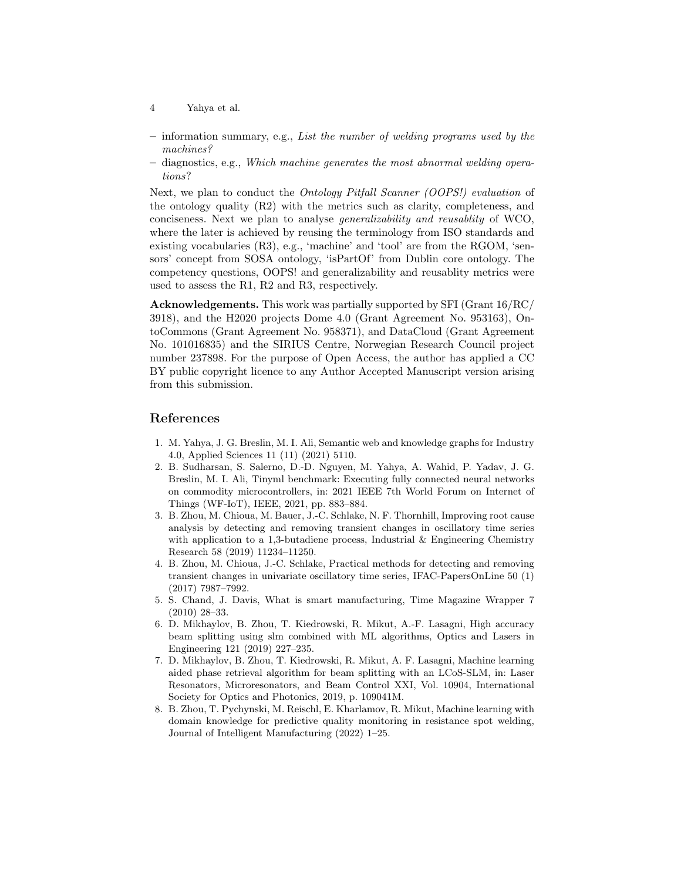- 4 Yahya et al.
- $-$  information summary, e.g., List the number of welding programs used by the machines?
- diagnostics, e.g., Which machine generates the most abnormal welding operations?

Next, we plan to conduct the Ontology Pitfall Scanner (OOPS!) evaluation of the ontology quality (R2) with the metrics such as clarity, completeness, and conciseness. Next we plan to analyse generalizability and reusablity of WCO, where the later is achieved by reusing the terminology from ISO standards and existing vocabularies  $(R3)$ , e.g., 'machine' and 'tool' are from the RGOM, 'sensors' concept from SOSA ontology, 'isPartOf' from Dublin core ontology. The competency questions, OOPS! and generalizability and reusablity metrics were used to assess the R1, R2 and R3, respectively.

Acknowledgements. This work was partially supported by SFI (Grant 16/RC/ 3918), and the H2020 projects Dome 4.0 (Grant Agreement No. 953163), OntoCommons (Grant Agreement No. 958371), and DataCloud (Grant Agreement No. 101016835) and the SIRIUS Centre, Norwegian Research Council project number 237898. For the purpose of Open Access, the author has applied a CC BY public copyright licence to any Author Accepted Manuscript version arising from this submission.

## References

- 1. M. Yahya, J. G. Breslin, M. I. Ali, Semantic web and knowledge graphs for Industry 4.0, Applied Sciences 11 (11) (2021) 5110.
- 2. B. Sudharsan, S. Salerno, D.-D. Nguyen, M. Yahya, A. Wahid, P. Yadav, J. G. Breslin, M. I. Ali, Tinyml benchmark: Executing fully connected neural networks on commodity microcontrollers, in: 2021 IEEE 7th World Forum on Internet of Things (WF-IoT), IEEE, 2021, pp. 883–884.
- 3. B. Zhou, M. Chioua, M. Bauer, J.-C. Schlake, N. F. Thornhill, Improving root cause analysis by detecting and removing transient changes in oscillatory time series with application to a 1,3-butadiene process, Industrial  $&$  Engineering Chemistry Research 58 (2019) 11234–11250.
- 4. B. Zhou, M. Chioua, J.-C. Schlake, Practical methods for detecting and removing transient changes in univariate oscillatory time series, IFAC-PapersOnLine 50 (1) (2017) 7987–7992.
- 5. S. Chand, J. Davis, What is smart manufacturing, Time Magazine Wrapper 7 (2010) 28–33.
- 6. D. Mikhaylov, B. Zhou, T. Kiedrowski, R. Mikut, A.-F. Lasagni, High accuracy beam splitting using slm combined with ML algorithms, Optics and Lasers in Engineering 121 (2019) 227–235.
- 7. D. Mikhaylov, B. Zhou, T. Kiedrowski, R. Mikut, A. F. Lasagni, Machine learning aided phase retrieval algorithm for beam splitting with an LCoS-SLM, in: Laser Resonators, Microresonators, and Beam Control XXI, Vol. 10904, International Society for Optics and Photonics, 2019, p. 109041M.
- 8. B. Zhou, T. Pychynski, M. Reischl, E. Kharlamov, R. Mikut, Machine learning with domain knowledge for predictive quality monitoring in resistance spot welding, Journal of Intelligent Manufacturing (2022) 1–25.